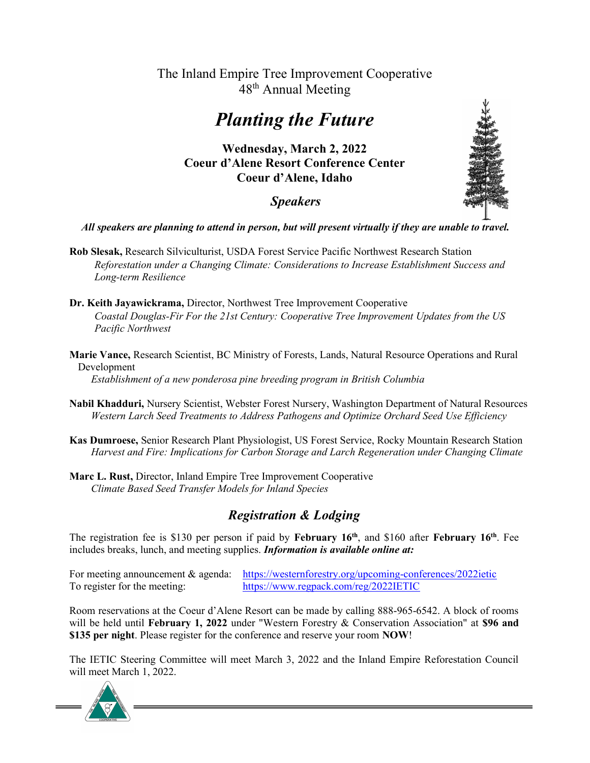#### The Inland Empire Tree Improvement Cooperative 48<sup>th</sup> Annual Meeting

## Planting the Future

Wednesday, March 2, 2022 Coeur d'Alene Resort Conference Center Coeur d'Alene, Idaho

#### Speakers



- Rob Slesak, Research Silviculturist, USDA Forest Service Pacific Northwest Research Station Reforestation under a Changing Climate: Considerations to Increase Establishment Success and Long-term Resilience
- Dr. Keith Jayawickrama, Director, Northwest Tree Improvement Cooperative Coastal Douglas-Fir For the 21st Century: Cooperative Tree Improvement Updates from the US Pacific Northwest
- Marie Vance, Research Scientist, BC Ministry of Forests, Lands, Natural Resource Operations and Rural Development

Establishment of a new ponderosa pine breeding program in British Columbia

- Nabil Khadduri, Nursery Scientist, Webster Forest Nursery, Washington Department of Natural Resources Western Larch Seed Treatments to Address Pathogens and Optimize Orchard Seed Use Efficiency
- Kas Dumroese, Senior Research Plant Physiologist, US Forest Service, Rocky Mountain Research Station Harvest and Fire: Implications for Carbon Storage and Larch Regeneration under Changing Climate
- Marc L. Rust, Director, Inland Empire Tree Improvement Cooperative Climate Based Seed Transfer Models for Inland Species

### Registration & Lodging

The registration fee is \$130 per person if paid by February  $16<sup>th</sup>$ , and \$160 after February  $16<sup>th</sup>$ . Fee includes breaks, lunch, and meeting supplies. Information is available online at:

For meeting announcement & agenda: https://westernforestry.org/upcoming-conferences/2022ietic To register for the meeting: https://www.regpack.com/reg/2022IETIC

Room reservations at the Coeur d'Alene Resort can be made by calling 888-965-6542. A block of rooms will be held until February 1, 2022 under "Western Forestry & Conservation Association" at \$96 and \$135 per night. Please register for the conference and reserve your room NOW!

The IETIC Steering Committee will meet March 3, 2022 and the Inland Empire Reforestation Council will meet March 1, 2022.